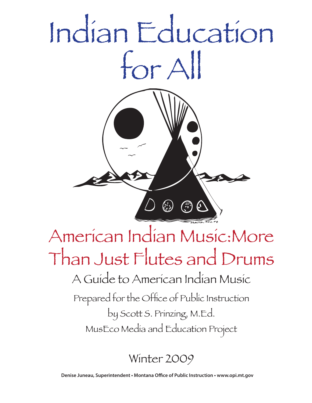

## Winter 2009

**Denise Juneau, Superintendent • Montana Office of Public Instruction • www.opi.mt.gov**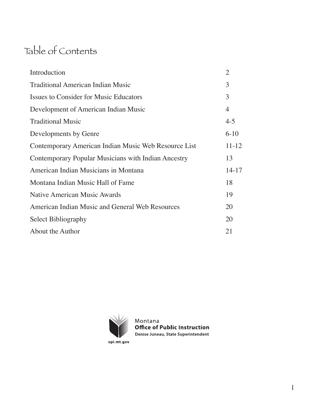## Table of Contents

| Introduction                                         | $\overline{2}$ |
|------------------------------------------------------|----------------|
| <b>Traditional American Indian Music</b>             | 3              |
| Issues to Consider for Music Educators               | 3              |
| Development of American Indian Music                 | $\overline{4}$ |
| <b>Traditional Music</b>                             | $4 - 5$        |
| Developments by Genre                                | $6 - 10$       |
| Contemporary American Indian Music Web Resource List | $11 - 12$      |
| Contemporary Popular Musicians with Indian Ancestry  | 13             |
| American Indian Musicians in Montana                 | $14 - 17$      |
| Montana Indian Music Hall of Fame                    | 18             |
| Native American Music Awards                         | 19             |
| American Indian Music and General Web Resources      | 20             |
| <b>Select Bibliography</b>                           | 20             |
| About the Author                                     | 21             |



Montana **Office of Public Instruction** Denise Juneau, State Superintendent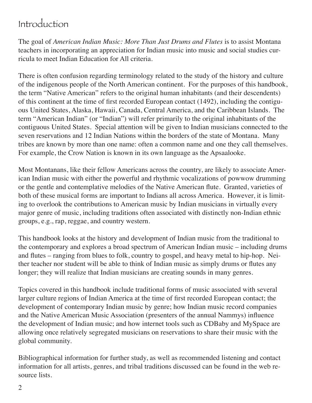## Introduction

The goal of *American Indian Music: More Than Just Drums and Flutes* is to assist Montana teachers in incorporating an appreciation for Indian music into music and social studies curricula to meet Indian Education for All criteria.

There is often confusion regarding terminology related to the study of the history and culture of the indigenous people of the North American continent. For the purposes of this handbook, the term "Native American" refers to the original human inhabitants (and their descendents) of this continent at the time of first recorded European contact (1492), including the contiguous United States, Alaska, Hawaii, Canada, Central America, and the Caribbean Islands. The term "American Indian" (or "Indian") will refer primarily to the original inhabitants of the contiguous United States. Special attention will be given to Indian musicians connected to the seven reservations and 12 Indian Nations within the borders of the state of Montana. Many tribes are known by more than one name: often a common name and one they call themselves. For example, the Crow Nation is known in its own language as the Apsaalooke.

Most Montanans, like their fellow Americans across the country, are likely to associate American Indian music with either the powerful and rhythmic vocalizations of powwow drumming or the gentle and contemplative melodies of the Native American flute. Granted, varieties of both of these musical forms are important to Indians all across America. However, it is limiting to overlook the contributions to American music by Indian musicians in virtually every major genre of music, including traditions often associated with distinctly non-Indian ethnic groups, e.g., rap, reggae, and country western.

This handbook looks at the history and development of Indian music from the traditional to the contemporary and explores a broad spectrum of American Indian music – including drums and flutes – ranging from blues to folk, country to gospel, and heavy metal to hip-hop. Neither teacher nor student will be able to think of Indian music as simply drums or flutes any longer; they will realize that Indian musicians are creating sounds in many genres.

Topics covered in this handbook include traditional forms of music associated with several larger culture regions of Indian America at the time of first recorded European contact; the development of contemporary Indian music by genre; how Indian music record companies and the Native American Music Association (presenters of the annual Nammys) influence the development of Indian music; and how internet tools such as CDBaby and MySpace are allowing once relatively segregated musicians on reservations to share their music with the global community.

Bibliographical information for further study, as well as recommended listening and contact information for all artists, genres, and tribal traditions discussed can be found in the web resource lists.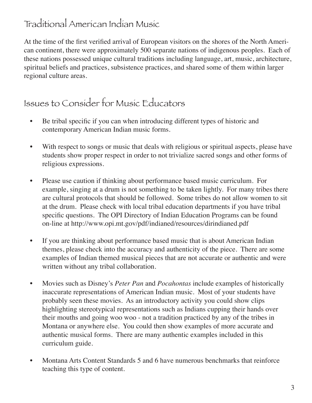## Traditional American Indian Music

At the time of the first verified arrival of European visitors on the shores of the North American continent, there were approximately 500 separate nations of indigenous peoples. Each of these nations possessed unique cultural traditions including language, art, music, architecture, spiritual beliefs and practices, subsistence practices, and shared some of them within larger regional culture areas.

### Issues to Consider for Music Educators

- Be tribal specific if you can when introducing different types of historic and contemporary American Indian music forms.
- With respect to songs or music that deals with religious or spiritual aspects, please have students show proper respect in order to not trivialize sacred songs and other forms of religious expressions.
- Please use caution if thinking about performance based music curriculum. For example, singing at a drum is not something to be taken lightly. For many tribes there are cultural protocols that should be followed. Some tribes do not allow women to sit at the drum. Please check with local tribal education departments if you have tribal specific questions. The OPI Directory of Indian Education Programs can be found on-line at http://www.opi.mt.gov/pdf/indianed/resources/dirindianed.pdf
- If you are thinking about performance based music that is about American Indian themes, please check into the accuracy and authenticity of the piece. There are some examples of Indian themed musical pieces that are not accurate or authentic and were written without any tribal collaboration.
- Movies such as Disney's *Peter Pan* and *Pocahontas* include examples of historically inaccurate representations of American Indian music. Most of your students have probably seen these movies. As an introductory activity you could show clips highlighting stereotypical representations such as Indians cupping their hands over their mouths and going woo woo - not a tradition practiced by any of the tribes in Montana or anywhere else. You could then show examples of more accurate and authentic musical forms. There are many authentic examples included in this curriculum guide.
- Montana Arts Content Standards 5 and 6 have numerous benchmarks that reinforce teaching this type of content.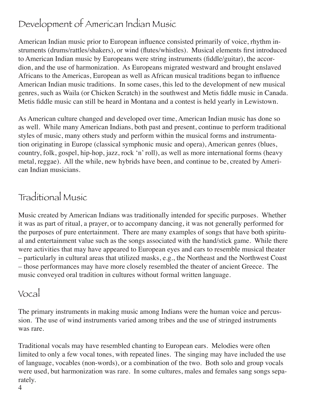# Development of American Indian Music

American Indian music prior to European influence consisted primarily of voice, rhythm instruments (drums/rattles/shakers), or wind (flutes/whistles). Musical elements first introduced to American Indian music by Europeans were string instruments (fiddle/guitar), the accordion, and the use of harmonization. As Europeans migrated westward and brought enslaved Africans to the Americas, European as well as African musical traditions began to influence American Indian music traditions. In some cases, this led to the development of new musical genres, such as Waila (or Chicken Scratch) in the southwest and Metis fiddle music in Canada. Metis fiddle music can still be heard in Montana and a contest is held yearly in Lewistown.

As American culture changed and developed over time, American Indian music has done so as well. While many American Indians, both past and present, continue to perform traditional styles of music, many others study and perform within the musical forms and instrumentation originating in Europe (classical symphonic music and opera), American genres (blues, country, folk, gospel, hip-hop, jazz, rock 'n' roll), as well as more international forms (heavy metal, reggae). All the while, new hybrids have been, and continue to be, created by American Indian musicians.

### Traditional Music

Music created by American Indians was traditionally intended for specific purposes. Whether it was as part of ritual, a prayer, or to accompany dancing, it was not generally performed for the purposes of pure entertainment. There are many examples of songs that have both spiritual and entertainment value such as the songs associated with the hand/stick game. While there were activities that may have appeared to European eyes and ears to resemble musical theater – particularly in cultural areas that utilized masks, e.g., the Northeast and the Northwest Coast – those performances may have more closely resembled the theater of ancient Greece. The music conveyed oral tradition in cultures without formal written language.

#### Vocal

The primary instruments in making music among Indians were the human voice and percussion. The use of wind instruments varied among tribes and the use of stringed instruments was rare.

Traditional vocals may have resembled chanting to European ears. Melodies were often limited to only a few vocal tones, with repeated lines. The singing may have included the use of language, vocables (non-words), or a combination of the two. Both solo and group vocals were used, but harmonization was rare. In some cultures, males and females sang songs separately.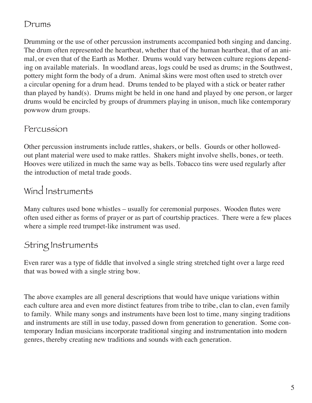#### Drums

Drumming or the use of other percussion instruments accompanied both singing and dancing. The drum often represented the heartbeat, whether that of the human heartbeat, that of an animal, or even that of the Earth as Mother. Drums would vary between culture regions depending on available materials. In woodland areas, logs could be used as drums; in the Southwest, pottery might form the body of a drum. Animal skins were most often used to stretch over a circular opening for a drum head. Drums tended to be played with a stick or beater rather than played by hand(s). Drums might be held in one hand and played by one person, or larger drums would be encircled by groups of drummers playing in unison, much like contemporary powwow drum groups.

#### Percussion

Other percussion instruments include rattles, shakers, or bells. Gourds or other hollowedout plant material were used to make rattles. Shakers might involve shells, bones, or teeth. Hooves were utilized in much the same way as bells. Tobacco tins were used regularly after the introduction of metal trade goods.

## Wind Instruments

Many cultures used bone whistles – usually for ceremonial purposes. Wooden flutes were often used either as forms of prayer or as part of courtship practices. There were a few places where a simple reed trumpet-like instrument was used.

#### String Instruments

Even rarer was a type of fiddle that involved a single string stretched tight over a large reed that was bowed with a single string bow.

The above examples are all general descriptions that would have unique variations within each culture area and even more distinct features from tribe to tribe, clan to clan, even family to family. While many songs and instruments have been lost to time, many singing traditions and instruments are still in use today, passed down from generation to generation. Some contemporary Indian musicians incorporate traditional singing and instrumentation into modern genres, thereby creating new traditions and sounds with each generation.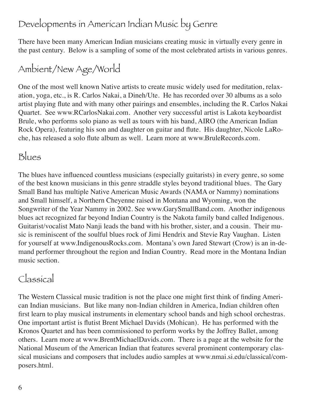# Developments in American Indian Music by Genre

There have been many American Indian musicians creating music in virtually every genre in the past century. Below is a sampling of some of the most celebrated artists in various genres.

# Ambient/New Age/World

One of the most well known Native artists to create music widely used for meditation, relaxation, yoga, etc., is R. Carlos Nakai, a Dineh/Ute. He has recorded over 30 albums as a solo artist playing flute and with many other pairings and ensembles, including the R. Carlos Nakai Quartet. See www.RCarlosNakai.com. Another very successful artist is Lakota keyboardist Brule, who performs solo piano as well as tours with his band, AIRO (the American Indian Rock Opera), featuring his son and daughter on guitar and flute. His daughter, Nicole LaRoche, has released a solo flute album as well. Learn more at www.BruleRecords.com.

## Blues

The blues have influenced countless musicians (especially guitarists) in every genre, so some of the best known musicians in this genre straddle styles beyond traditional blues. The Gary Small Band has multiple Native American Music Awards (NAMA or Nammy) nominations and Small himself, a Northern Cheyenne raised in Montana and Wyoming, won the Songwriter of the Year Nammy in 2002. See www.GarySmallBand.com. Another indigenous blues act recognized far beyond Indian Country is the Nakota family band called Indigenous. Guitarist/vocalist Mato Nanji leads the band with his brother, sister, and a cousin. Their music is reminiscent of the soulful blues rock of Jimi Hendrix and Stevie Ray Vaughan. Listen for yourself at www.IndigenousRocks.com. Montana's own Jared Stewart (Crow) is an in-demand performer throughout the region and Indian Country. Read more in the Montana Indian music section.

# Classical

The Western Classical music tradition is not the place one might first think of finding American Indian musicians. But like many non-Indian children in America, Indian children often first learn to play musical instruments in elementary school bands and high school orchestras. One important artist is flutist Brent Michael Davids (Mohican). He has performed with the Kronos Quartet and has been commissioned to perform works by the Joffrey Ballet, among others. Learn more at www.BrentMichaelDavids.com. There is a page at the website for the National Museum of the American Indian that features several prominent contemporary classical musicians and composers that includes audio samples at www.nmai.si.edu/classical/composers.html.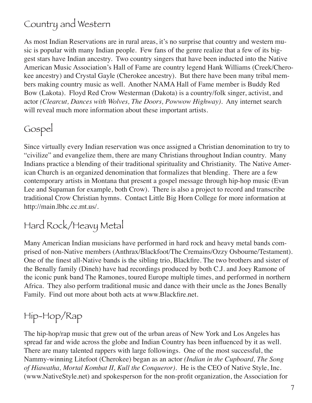# Country and Western

As most Indian Reservations are in rural areas, it's no surprise that country and western music is popular with many Indian people. Few fans of the genre realize that a few of its biggest stars have Indian ancestry. Two country singers that have been inducted into the Native American Music Association's Hall of Fame are country legend Hank Williams (Creek/Cherokee ancestry) and Crystal Gayle (Cherokee ancestry). But there have been many tribal members making country music as well. Another NAMA Hall of Fame member is Buddy Red Bow (Lakota). Floyd Red Crow Westerman (Dakota) is a country/folk singer, activist, and actor *(Clearcut, Dances with Wolves, The Doors, Powwow Highway).* Any internet search will reveal much more information about these important artists.

### Gospel

Since virtually every Indian reservation was once assigned a Christian denomination to try to "civilize" and evangelize them, there are many Christians throughout Indian country. Many Indians practice a blending of their traditional spirituality and Christianity. The Native American Church is an organized denomination that formalizes that blending. There are a few contemporary artists in Montana that present a gospel message through hip-hop music (Evan Lee and Supaman for example, both Crow). There is also a project to record and transcribe traditional Crow Christian hymns. Contact Little Big Horn College for more information at http://main.lbhc.cc.mt.us/.

## Hard Rock/Heavy Metal

Many American Indian musicians have performed in hard rock and heavy metal bands comprised of non-Native members (Anthrax/Blackfoot/The Cremains/Ozzy Osbourne/Testament). One of the finest all-Native bands is the sibling trio, Blackfire. The two brothers and sister of the Benally family (Dineh) have had recordings produced by both C.J. and Joey Ramone of the iconic punk band The Ramones, toured Europe multiple times, and performed in northern Africa. They also perform traditional music and dance with their uncle as the Jones Benally Family. Find out more about both acts at www.Blackfire.net.

# Hip-Hop/Rap

The hip-hop/rap music that grew out of the urban areas of New York and Los Angeles has spread far and wide across the globe and Indian Country has been influenced by it as well. There are many talented rappers with large followings. One of the most successful, the Nammy-winning Litefoot (Cherokee) began as an actor *(Indian in the Cupboard, The Song of Hiawatha, Mortal Kombat II, Kull the Conqueror).* He is the CEO of Native Style, Inc. (www.NativeStyle.net) and spokesperson for the non-profit organization, the Association for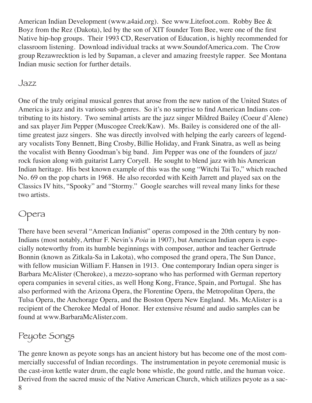American Indian Development (www.a4aid.org). See www.Litefoot.com. Robby Bee & Boyz from the Rez (Dakota), led by the son of XIT founder Tom Bee, were one of the first Native hip-hop groups. Their 1993 CD, Reservation of Education, is highly recommended for classroom listening. Download individual tracks at www.SoundofAmerica.com. The Crow group Rezawrecktion is led by Supaman, a clever and amazing freestyle rapper. See Montana Indian music section for further details.

#### Jazz

One of the truly original musical genres that arose from the new nation of the United States of America is jazz and its various sub-genres. So it's no surprise to find American Indians contributing to its history. Two seminal artists are the jazz singer Mildred Bailey (Coeur d'Alene) and sax player Jim Pepper (Muscogee Creek/Kaw). Ms. Bailey is considered one of the alltime greatest jazz singers. She was directly involved with helping the early careers of legendary vocalists Tony Bennett, Bing Crosby, Billie Holiday, and Frank Sinatra, as well as being the vocalist with Benny Goodman's big band. Jim Pepper was one of the founders of jazz/ rock fusion along with guitarist Larry Coryell. He sought to blend jazz with his American Indian heritage. His best known example of this was the song "Witchi Tai To," which reached No. 69 on the pop charts in 1968. He also recorded with Keith Jarrett and played sax on the Classics IV hits, "Spooky" and "Stormy." Google searches will reveal many links for these two artists.

#### Opera

There have been several "American Indianist" operas composed in the 20th century by non-Indians (most notably, Arthur F. Nevin's *Poia* in 1907), but American Indian opera is especially noteworthy from its humble beginnings with composer, author and teacher Gertrude Bonnin (known as Zitkala-Sa in Lakota), who composed the grand opera, The Sun Dance, with fellow musician William F. Hansen in 1913. One contemporary Indian opera singer is Barbara McAlister (Cherokee), a mezzo-soprano who has performed with German repertory opera companies in several cities, as well Hong Kong, France, Spain, and Portugal. She has also performed with the Arizona Opera, the Florentine Opera, the Metropolitan Opera, the Tulsa Opera, the Anchorage Opera, and the Boston Opera New England. Ms. McAlister is a recipient of the Cherokee Medal of Honor. Her extensive résumé and audio samples can be found at www.BarbaraMcAlister.com.

## Peyote Songs

The genre known as peyote songs has an ancient history but has become one of the most commercially successful of Indian recordings. The instrumentation in peyote ceremonial music is the cast-iron kettle water drum, the eagle bone whistle, the gourd rattle, and the human voice. Derived from the sacred music of the Native American Church, which utilizes peyote as a sac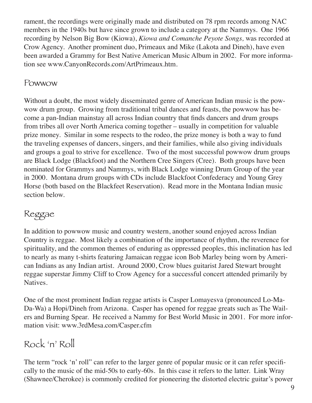rament, the recordings were originally made and distributed on 78 rpm records among NAC members in the 1940s but have since grown to include a category at the Nammys. One 1966 recording by Nelson Big Bow (Kiowa), *Kiowa and Comanche Peyote Songs,* was recorded at Crow Agency. Another prominent duo, Primeaux and Mike (Lakota and Dineh), have even been awarded a Grammy for Best Native American Music Album in 2002. For more information see www.CanyonRecords.com/ArtPrimeaux.htm.

#### Powwow

Without a doubt, the most widely disseminated genre of American Indian music is the powwow drum group. Growing from traditional tribal dances and feasts, the powwow has become a pan-Indian mainstay all across Indian country that finds dancers and drum groups from tribes all over North America coming together – usually in competition for valuable prize money. Similar in some respects to the rodeo, the prize money is both a way to fund the traveling expenses of dancers, singers, and their families, while also giving individuals and groups a goal to strive for excellence. Two of the most successful powwow drum groups are Black Lodge (Blackfoot) and the Northern Cree Singers (Cree). Both groups have been nominated for Grammys and Nammys, with Black Lodge winning Drum Group of the year in 2000. Montana drum groups with CDs include Blackfoot Confederacy and Young Grey Horse (both based on the Blackfeet Reservation). Read more in the Montana Indian music section below.

### Reggae

In addition to powwow music and country western, another sound enjoyed across Indian Country is reggae. Most likely a combination of the importance of rhythm, the reverence for spirituality, and the common themes of enduring as oppressed peoples, this inclination has led to nearly as many t-shirts featuring Jamaican reggae icon Bob Marley being worn by American Indians as any Indian artist. Around 2000, Crow blues guitarist Jared Stewart brought reggae superstar Jimmy Cliff to Crow Agency for a successful concert attended primarily by Natives.

One of the most prominent Indian reggae artists is Casper Lomayesva (pronounced Lo-Ma-Da-Wa) a Hopi/Dineh from Arizona. Casper has opened for reggae greats such as The Wailers and Burning Spear. He received a Nammy for Best World Music in 2001. For more information visit: www.3rdMesa.com/Casper.cfm

## Rock 'n' Roll

The term "rock 'n' roll" can refer to the larger genre of popular music or it can refer specifically to the music of the mid-50s to early-60s. In this case it refers to the latter. Link Wray (Shawnee/Cherokee) is commonly credited for pioneering the distorted electric guitar's power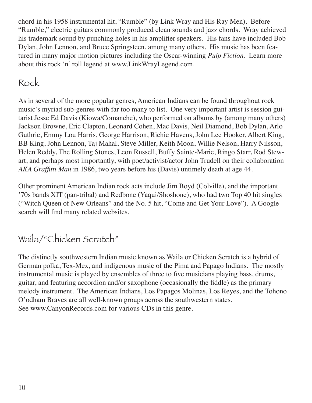chord in his 1958 instrumental hit, "Rumble" (by Link Wray and His Ray Men). Before "Rumble," electric guitars commonly produced clean sounds and jazz chords. Wray achieved his trademark sound by punching holes in his amplifier speakers. His fans have included Bob Dylan, John Lennon, and Bruce Springsteen, among many others. His music has been featured in many major motion pictures including the Oscar-winning *Pulp Fiction.* Learn more about this rock 'n' roll legend at www.LinkWrayLegend.com.

## Rock

As in several of the more popular genres, American Indians can be found throughout rock music's myriad sub-genres with far too many to list. One very important artist is session guitarist Jesse Ed Davis (Kiowa/Comanche), who performed on albums by (among many others) Jackson Browne, Eric Clapton, Leonard Cohen, Mac Davis, Neil Diamond, Bob Dylan, Arlo Guthrie, Emmy Lou Harris, George Harrison, Richie Havens, John Lee Hooker, Albert King, BB King, John Lennon, Taj Mahal, Steve Miller, Keith Moon, Willie Nelson, Harry Nilsson, Helen Reddy, The Rolling Stones, Leon Russell, Buffy Sainte-Marie, Ringo Starr, Rod Stewart, and perhaps most importantly, with poet/activist/actor John Trudell on their collaboration *AKA Graffitti Man* in 1986, two years before his (Davis) untimely death at age 44.

Other prominent American Indian rock acts include Jim Boyd (Colville), and the important '70s bands XIT (pan-tribal) and Redbone (Yaqui/Shoshone), who had two Top 40 hit singles ("Witch Queen of New Orleans" and the No. 5 hit, "Come and Get Your Love"). A Google search will find many related websites.

# Waila/"Chicken Scratch"

The distinctly southwestern Indian music known as Waila or Chicken Scratch is a hybrid of German polka, Tex-Mex, and indigenous music of the Pima and Papago Indians. The mostly instrumental music is played by ensembles of three to five musicians playing bass, drums, guitar, and featuring accordion and/or saxophone (occasionally the fiddle) as the primary melody instrument. The American Indians, Los Papagos Molinas, Los Reyes, and the Tohono O'odham Braves are all well-known groups across the southwestern states. See www.CanyonRecords.com for various CDs in this genre.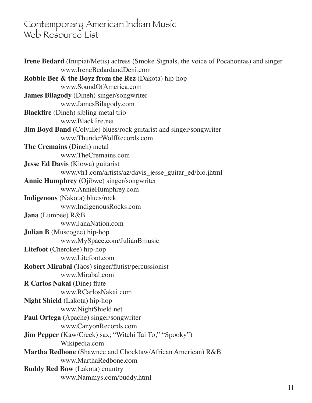### Contemporary American Indian Music Web Resource List

| <b>Irene Bedard</b> (Inupiat/Metis) actress (Smoke Signals, the voice of Pocahontas) and singer |
|-------------------------------------------------------------------------------------------------|
| www.IreneBedardandDeni.com                                                                      |
| <b>Robbie Bee &amp; the Boyz from the Rez</b> (Dakota) hip-hop                                  |
| www.SoundOfAmerica.com                                                                          |
| James Bilagody (Dineh) singer/songwriter                                                        |
| www.JamesBilagody.com                                                                           |
| <b>Blackfire</b> (Dineh) sibling metal trio                                                     |
| www.Blackfire.net                                                                               |
| <b>Jim Boyd Band</b> (Colville) blues/rock guitarist and singer/songwriter                      |
| www.ThunderWolfRecords.com                                                                      |
| <b>The Cremains</b> (Dineh) metal                                                               |
| www.TheCremains.com                                                                             |
| <b>Jesse Ed Davis</b> (Kiowa) guitarist                                                         |
| www.vh1.com/artists/az/davis_jesse_guitar_ed/bio.jhtml                                          |
| <b>Annie Humphrey</b> (Ojibwe) singer/songwriter                                                |
| www.AnnieHumphrey.com                                                                           |
| Indigenous (Nakota) blues/rock                                                                  |
| www.IndigenousRocks.com                                                                         |
| <b>Jana</b> (Lumbee) R&B                                                                        |
| www.JanaNation.com                                                                              |
| <b>Julian B</b> (Muscogee) hip-hop                                                              |
| www.MySpace.com/JulianBmusic                                                                    |
| Litefoot (Cherokee) hip-hop                                                                     |
| www.Litefoot.com                                                                                |
| <b>Robert Mirabal</b> (Taos) singer/flutist/percussionist                                       |
| www.Mirabal.com                                                                                 |
| R Carlos Nakai (Dine) flute                                                                     |
| www.RCarlosNakai.com                                                                            |
| Night Shield (Lakota) hip-hop                                                                   |
| www.NightShield.net                                                                             |
| Paul Ortega (Apache) singer/songwriter                                                          |
| www.CanyonRecords.com                                                                           |
| <b>Jim Pepper</b> (Kaw/Creek) sax; "Witchi Tai To," "Spooky")                                   |
| Wikipedia.com                                                                                   |
| Martha Redbone (Shawnee and Chocktaw/African American) R&B                                      |
| www.MarthaRedbone.com                                                                           |
| <b>Buddy Red Bow</b> (Lakota) country                                                           |
| www.Nammys.com/buddy.html                                                                       |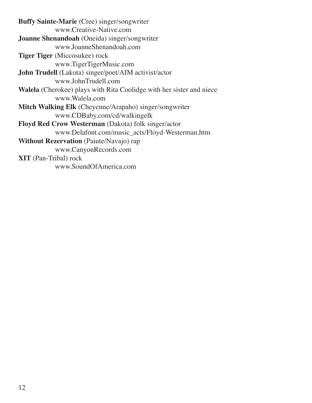| <b>Buffy Sainte-Marie</b> (Cree) singer/songwriter                          |
|-----------------------------------------------------------------------------|
| www.Creative-Native.com                                                     |
| <b>Joanne Shenandoah</b> (Oneida) singer/songwriter                         |
| www.JoanneShenandoah.com                                                    |
| <b>Tiger Tiger</b> (Miccosukee) rock                                        |
| www.TigerTigerMusic.com                                                     |
| <b>John Trudell</b> (Lakota) singer/poet/AIM activist/actor                 |
| www.JohnTrudell.com                                                         |
| <b>Walela</b> (Cherokee) plays with Rita Coolidge with her sister and niece |
| www.Walela.com                                                              |
| <b>Mitch Walking Elk</b> (Cheyenne/Arapaho) singer/songwriter               |
| www.CDBaby.com/cd/walkingelk                                                |
| <b>Floyd Red Crow Westerman</b> (Dakota) folk singer/actor                  |
| www.Delafont.com/music_acts/Floyd-Westerman.htm                             |
| Without Rezervation (Paiute/Navajo) rap                                     |
| www.CanyonRecords.com                                                       |
| <b>XIT</b> (Pan-Tribal) rock                                                |
| www.SoundOfAmerica.com                                                      |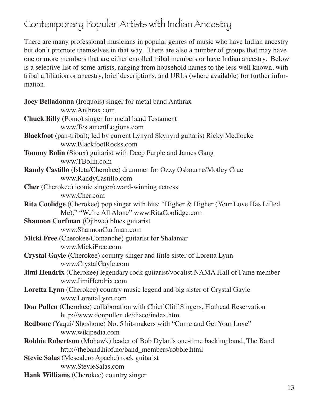# Contemporary Popular Artists with Indian Ancestry

There are many professional musicians in popular genres of music who have Indian ancestry but don't promote themselves in that way. There are also a number of groups that may have one or more members that are either enrolled tribal members or have Indian ancestry. Below is a selective list of some artists, ranging from household names to the less well known, with tribal affiliation or ancestry, brief descriptions, and URLs (where available) for further information.

| Joey Belladonna (Iroquois) singer for metal band Anthrax                                  |
|-------------------------------------------------------------------------------------------|
| www.Anthrax.com                                                                           |
| <b>Chuck Billy</b> (Pomo) singer for metal band Testament                                 |
| www.TestamentLegions.com                                                                  |
| Blackfoot (pan-tribal); led by current Lynyrd Skynyrd guitarist Ricky Medlocke            |
| www.BlackfootRocks.com                                                                    |
| Tommy Bolin (Sioux) guitarist with Deep Purple and James Gang                             |
| www.TBolin.com                                                                            |
| Randy Castillo (Isleta/Cherokee) drummer for Ozzy Osbourne/Motley Crue                    |
| www.RandyCastillo.com                                                                     |
| <b>Cher</b> (Cherokee) iconic singer/award-winning actress                                |
| www.Cher.com                                                                              |
| Rita Coolidge (Cherokee) pop singer with hits: "Higher & Higher (Your Love Has Lifted     |
| Me)," "We're All Alone" www.RitaCoolidge.com                                              |
| <b>Shannon Curfman</b> (Ojibwe) blues guitarist                                           |
| www.ShannonCurfman.com                                                                    |
| Micki Free (Cherokee/Comanche) guitarist for Shalamar                                     |
| www.MickiFree.com                                                                         |
| Crystal Gayle (Cherokee) country singer and little sister of Loretta Lynn                 |
| www.CrystalGayle.com                                                                      |
| <b>Jimi Hendrix</b> (Cherokee) legendary rock guitarist/vocalist NAMA Hall of Fame member |
| www.JimiHendrix.com                                                                       |
| Loretta Lynn (Cherokee) country music legend and big sister of Crystal Gayle              |
| www.LorettaLynn.com                                                                       |
| <b>Don Pullen</b> (Cherokee) collaboration with Chief Cliff Singers, Flathead Reservation |
| http://www.donpullen.de/disco/index.htm                                                   |
| Redbone (Yaqui/ Shoshone) No. 5 hit-makers with "Come and Get Your Love"                  |
| www.wikipedia.com                                                                         |
| <b>Robbie Robertson</b> (Mohawk) leader of Bob Dylan's one-time backing band, The Band    |
| http://theband.hiof.no/band_members/robbie.html                                           |
| Stevie Salas (Mescalero Apache) rock guitarist                                            |
| www.StevieSalas.com                                                                       |
| Hank Williams (Cherokee) country singer                                                   |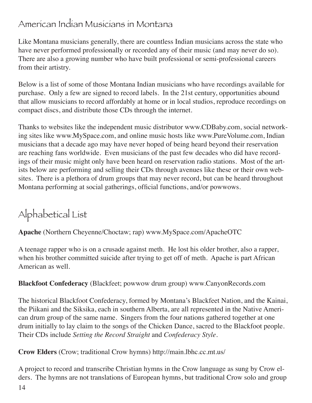#### American Indian Musicians in Montana

Like Montana musicians generally, there are countless Indian musicians across the state who have never performed professionally or recorded any of their music (and may never do so). There are also a growing number who have built professional or semi-professional careers from their artistry.

Below is a list of some of those Montana Indian musicians who have recordings available for purchase. Only a few are signed to record labels. In the 21st century, opportunities abound that allow musicians to record affordably at home or in local studios, reproduce recordings on compact discs, and distribute those CDs through the internet.

Thanks to websites like the independent music distributor www.CDBaby.com, social networking sites like www.MySpace.com, and online music hosts like www.PureVolume.com, Indian musicians that a decade ago may have never hoped of being heard beyond their reservation are reaching fans worldwide. Even musicians of the past few decades who did have recordings of their music might only have been heard on reservation radio stations. Most of the artists below are performing and selling their CDs through avenues like these or their own websites. There is a plethora of drum groups that may never record, but can be heard throughout Montana performing at social gatherings, official functions, and/or powwows.

# Alphabetical List

**Apache** (Northern Cheyenne/Choctaw; rap) www.MySpace.com/ApacheOTC

A teenage rapper who is on a crusade against meth. He lost his older brother, also a rapper, when his brother committed suicide after trying to get off of meth. Apache is part African American as well.

**Blackfoot Confederacy** (Blackfeet; powwow drum group) www.CanyonRecords.com

The historical Blackfoot Confederacy, formed by Montana's Blackfeet Nation, and the Kainai, the Piikani and the Siksika, each in southern Alberta, are all represented in the Native American drum group of the same name. Singers from the four nations gathered together at one drum initially to lay claim to the songs of the Chicken Dance, sacred to the Blackfoot people. Their CDs include *Setting the Record Straight* and *Confederacy Style.* 

**Crow Elders** (Crow; traditional Crow hymns) http://main.lbhc.cc.mt.us/

A project to record and transcribe Christian hymns in the Crow language as sung by Crow elders. The hymns are not translations of European hymns, but traditional Crow solo and group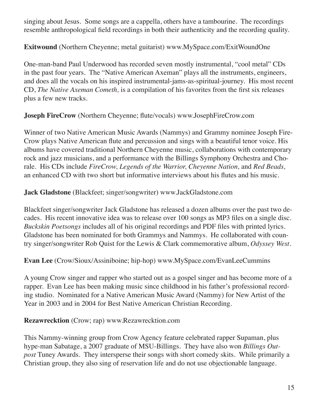singing about Jesus. Some songs are a cappella, others have a tambourine. The recordings resemble anthropological field recordings in both their authenticity and the recording quality.

**Exitwound** (Northern Cheyenne; metal guitarist) www.MySpace.com/ExitWoundOne

One-man-band Paul Underwood has recorded seven mostly instrumental, "cool metal" CDs in the past four years. The "Native American Axeman" plays all the instruments, engineers, and does all the vocals on his inspired instrumental-jams-as-spiritual-journey. His most recent CD, *The Native Axeman Cometh,* is a compilation of his favorites from the first six releases plus a few new tracks.

**Joseph FireCrow** (Northern Cheyenne; flute/vocals) www.JosephFireCrow.com

Winner of two Native American Music Awards (Nammys) and Grammy nominee Joseph Fire-Crow plays Native American flute and percussion and sings with a beautiful tenor voice. His albums have covered traditional Northern Cheyenne music, collaborations with contemporary rock and jazz musicians, and a performance with the Billings Symphony Orchestra and Chorale. His CDs include *FireCrow, Legends of the Warrior, Cheyenne Nation,* and *Red Beads,* an enhanced CD with two short but informative interviews about his flutes and his music.

**Jack Gladstone** (Blackfeet; singer/songwriter) www.JackGladstone.com

Blackfeet singer/songwriter Jack Gladstone has released a dozen albums over the past two decades. His recent innovative idea was to release over 100 songs as MP3 files on a single disc. *Buckskin Poetsongs* includes all of his original recordings and PDF files with printed lyrics. Gladstone has been nominated for both Grammys and Nammys. He collaborated with country singer/songwriter Rob Quist for the Lewis & Clark commemorative album, *Odyssey West.*

**Evan Lee** (Crow/Sioux/Assiniboine; hip-hop) www.MySpace.com/EvanLeeCummins

A young Crow singer and rapper who started out as a gospel singer and has become more of a rapper. Evan Lee has been making music since childhood in his father's professional recording studio. Nominated for a Native American Music Award (Nammy) for New Artist of the Year in 2003 and in 2004 for Best Native American Christian Recording.

**Rezawrecktion** (Crow; rap) www.Rezawrecktion.com

This Nammy-winning group from Crow Agency feature celebrated rapper Supaman, plus hype-man Sabatage, a 2007 graduate of MSU-Billings. They have also won *Billings Outpost* Tuney Awards. They intersperse their songs with short comedy skits. While primarily a Christian group, they also sing of reservation life and do not use objectionable language.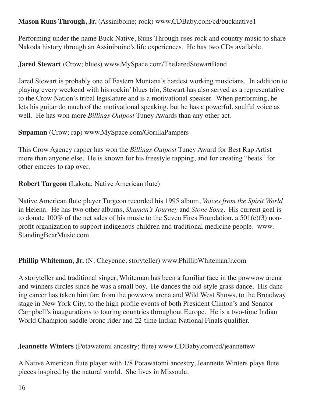#### **Mason Runs Through, Jr.** (Assiniboine; rock) www.CDBaby.com/cd/bucknative1

Performing under the name Buck Native, Runs Through uses rock and country music to share Nakoda history through an Assiniboine's life experiences. He has two CDs available.

#### **Jared Stewart** (Crow; blues) www.MySpace.com/TheJaredStewartBand

Jared Stewart is probably one of Eastern Montana's hardest working musicians. In addition to playing every weekend with his rockin' blues trio, Stewart has also served as a representative to the Crow Nation's tribal legislature and is a motivational speaker. When performing, he lets his guitar do much of the motivational speaking, but he has a powerful, soulful voice as well. He has won more *Billings Outpost* Tuney Awards than any other act.

#### **Supaman** (Crow; rap) www.MySpace.com/GorillaPampers

This Crow Agency rapper has won the *Billings Outpost* Tuney Award for Best Rap Artist more than anyone else. He is known for his freestyle rapping, and for creating "beats" for other emcees to rap over.

#### **Robert Turgeon** (Lakota; Native American flute)

Native American flute player Turgeon recorded his 1995 album, *Voices from the Spirit World* in Helena. He has two other albums, *Shaman's Journey* and *Stone Song.* His current goal is to donate  $100\%$  of the net sales of his music to the Seven Fires Foundation, a  $501(c)(3)$  nonprofit organization to support indigenous children and traditional medicine people. www. StandingBearMusic.com

#### **Phillip Whiteman, Jr.** (N. Cheyenne; storyteller) www.PhillipWhitemanJr.com

A storyteller and traditional singer, Whiteman has been a familiar face in the powwow arena and winners circles since he was a small boy. He dances the old-style grass dance. His dancing career has taken him far: from the powwow arena and Wild West Shows, to the Broadway stage in New York City, to the high profile events of both President Clinton's and Senator Campbell's inaugurations to touring countries throughout Europe. He is a two-time Indian World Champion saddle bronc rider and 22-time Indian National Finals qualifier.

#### **Jeannette Winters** (Potawatomi ancestry; flute) www.CDBaby.com/cd/jeannettew

A Native American flute player with 1/8 Potawatomi ancestry, Jeannette Winters plays flute pieces inspired by the natural world. She lives in Missoula.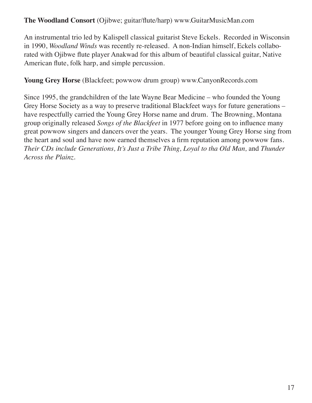#### **The Woodland Consort** (Ojibwe; guitar/flute/harp) www.GuitarMusicMan.com

An instrumental trio led by Kalispell classical guitarist Steve Eckels. Recorded in Wisconsin in 1990, *Woodland Winds* was recently re-released. A non-Indian himself, Eckels collaborated with Ojibwe flute player Anakwad for this album of beautiful classical guitar, Native American flute, folk harp, and simple percussion.

**Young Grey Horse** (Blackfeet; powwow drum group) www.CanyonRecords.com

Since 1995, the grandchildren of the late Wayne Bear Medicine – who founded the Young Grey Horse Society as a way to preserve traditional Blackfeet ways for future generations – have respectfully carried the Young Grey Horse name and drum. The Browning, Montana group originally released *Songs of the Blackfeet* in 1977 before going on to influence many great powwow singers and dancers over the years. The younger Young Grey Horse sing from the heart and soul and have now earned themselves a firm reputation among powwow fans. *Their CDs include Generations, It's Just a Tribe Thing, Loyal to tha Old Man,* and *Thunder Across the Plainz.*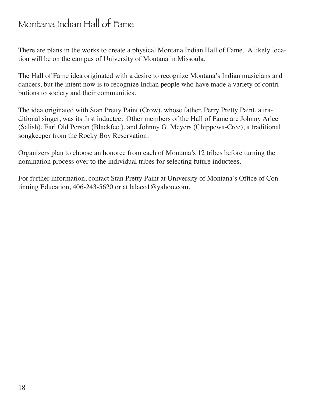## Montana Indian Hall of Fame

There are plans in the works to create a physical Montana Indian Hall of Fame. A likely location will be on the campus of University of Montana in Missoula.

The Hall of Fame idea originated with a desire to recognize Montana's Indian musicians and dancers, but the intent now is to recognize Indian people who have made a variety of contributions to society and their communities.

The idea originated with Stan Pretty Paint (Crow), whose father, Perry Pretty Paint, a traditional singer, was its first inductee. Other members of the Hall of Fame are Johnny Arlee (Salish), Earl Old Person (Blackfeet), and Johnny G. Meyers (Chippewa-Cree), a traditional songkeeper from the Rocky Boy Reservation.

Organizers plan to choose an honoree from each of Montana's 12 tribes before turning the nomination process over to the individual tribes for selecting future inductees.

For further information, contact Stan Pretty Paint at University of Montana's Office of Continuing Education, 406-243-5620 or at lalaco1@yahoo.com.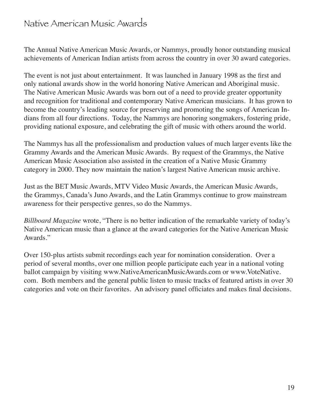#### Native American Music Awards

The Annual Native American Music Awards, or Nammys, proudly honor outstanding musical achievements of American Indian artists from across the country in over 30 award categories.

The event is not just about entertainment. It was launched in January 1998 as the first and only national awards show in the world honoring Native American and Aboriginal music. The Native American Music Awards was born out of a need to provide greater opportunity and recognition for traditional and contemporary Native American musicians. It has grown to become the country's leading source for preserving and promoting the songs of American Indians from all four directions. Today, the Nammys are honoring songmakers, fostering pride, providing national exposure, and celebrating the gift of music with others around the world.

The Nammys has all the professionalism and production values of much larger events like the Grammy Awards and the American Music Awards. By request of the Grammys, the Native American Music Association also assisted in the creation of a Native Music Grammy category in 2000. They now maintain the nation's largest Native American music archive.

Just as the BET Music Awards, MTV Video Music Awards, the American Music Awards, the Grammys, Canada's Juno Awards, and the Latin Grammys continue to grow mainstream awareness for their perspective genres, so do the Nammys.

*Billboard Magazine* wrote, "There is no better indication of the remarkable variety of today's Native American music than a glance at the award categories for the Native American Music Awards."

Over 150-plus artists submit recordings each year for nomination consideration. Over a period of several months, over one million people participate each year in a national voting ballot campaign by visiting www.NativeAmericanMusicAwards.com or www.VoteNative. com. Both members and the general public listen to music tracks of featured artists in over 30 categories and vote on their favorites. An advisory panel officiates and makes final decisions.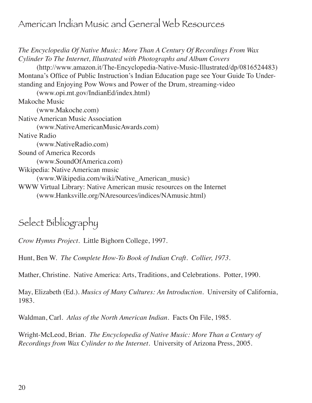### American Indian Music and General Web Resources

*The Encyclopedia Of Native Music: More Than A Century Of Recordings From Wax Cylinder To The Internet, Illustrated with Photographs and Album Covers* (http://www.amazon.it/The-Encyclopedia-Native-Music-Illustrated/dp/0816524483) Montana's Office of Public Instruction's Indian Education page see Your Guide To Understanding and Enjoying Pow Wows and Power of the Drum, streaming-video (www.opi.mt.gov/IndianEd/index.html) Makoche Music (www.Makoche.com) Native American Music Association (www.NativeAmericanMusicAwards.com) Native Radio (www.NativeRadio.com) Sound of America Records (www.SoundOfAmerica.com) Wikipedia: Native American music (www.Wikipedia.com/wiki/Native\_American\_music) WWW Virtual Library: Native American music resources on the Internet (www.Hanksville.org/NAresources/indices/NAmusic.html)

# Select Bibliography

*Crow Hymns Project.* Little Bighorn College, 1997.

Hunt, Ben W. *The Complete How-To Book of Indian Craft. Collier, 1973.*

Mather, Christine. Native America: Arts, Traditions, and Celebrations. Potter, 1990.

May, Elizabeth (Ed.). *Musics of Many Cultures: An Introduction.* University of California, 1983.

Waldman, Carl. *Atlas of the North American Indian.* Facts On File, 1985.

Wright-McLeod, Brian. *The Encyclopedia of Native Music: More Than a Century of Recordings from Wax Cylinder to the Internet*. University of Arizona Press, 2005.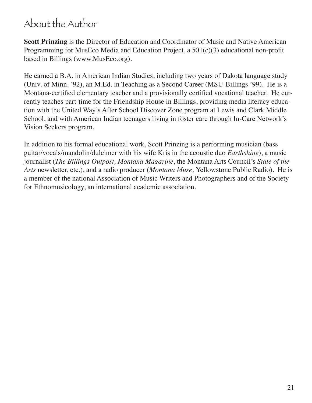## About the Author

**Scott Prinzing** is the Director of Education and Coordinator of Music and Native American Programming for MusEco Media and Education Project, a 501(c)(3) educational non-profit based in Billings (www.MusEco.org).

He earned a B.A. in American Indian Studies, including two years of Dakota language study (Univ. of Minn. '92), an M.Ed. in Teaching as a Second Career (MSU-Billings '99). He is a Montana-certified elementary teacher and a provisionally certified vocational teacher. He currently teaches part-time for the Friendship House in Billings, providing media literacy education with the United Way's After School Discover Zone program at Lewis and Clark Middle School, and with American Indian teenagers living in foster care through In-Care Network's Vision Seekers program.

In addition to his formal educational work, Scott Prinzing is a performing musician (bass guitar/vocals/mandolin/dulcimer with his wife Kris in the acoustic duo *Earthshine*), a music journalist (*The Billings Outpost, Montana Magazine*, the Montana Arts Council's *State of the Arts* newsletter, etc.), and a radio producer (*Montana Muse,* Yellowstone Public Radio). He is a member of the national Association of Music Writers and Photographers and of the Society for Ethnomusicology, an international academic association.